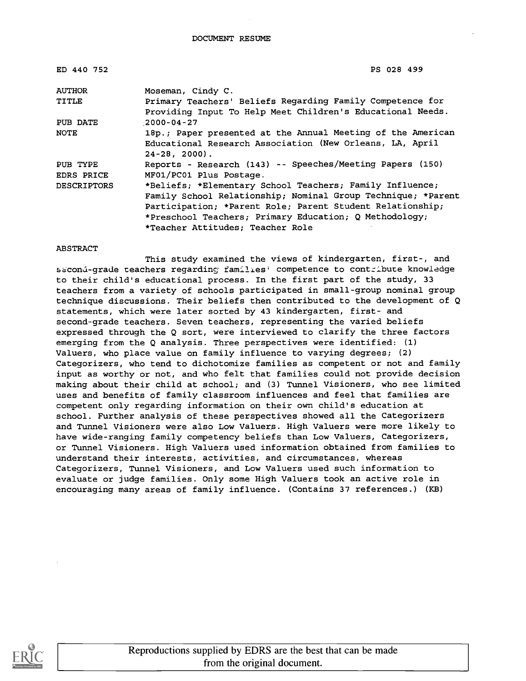#### DOCUMENT RESUME

| ED 440 752                    | PS 028 499                                                                                                                                                                                                                                                                          |
|-------------------------------|-------------------------------------------------------------------------------------------------------------------------------------------------------------------------------------------------------------------------------------------------------------------------------------|
| <b>AUTHOR</b>                 | Moseman, Cindy C.                                                                                                                                                                                                                                                                   |
| <b>TITLE</b>                  | Primary Teachers' Beliefs Regarding Family Competence for<br>Providing Input To Help Meet Children's Educational Needs.                                                                                                                                                             |
| PUB DATE                      | $2000 - 04 - 27$                                                                                                                                                                                                                                                                    |
| <b>NOTE</b>                   | 18p.; Paper presented at the Annual Meeting of the American<br>Educational Research Association (New Orleans, LA, April<br>$24-28, 2000$ .                                                                                                                                          |
| PUB TYPE<br><b>EDRS PRICE</b> | Reports - Research (143) -- Speeches/Meeting Papers (150)<br>MF01/PC01 Plus Postage.                                                                                                                                                                                                |
| <b>DESCRIPTORS</b>            | *Beliefs; *Elementary School Teachers; Family Influence;<br>Family School Relationship; Nominal Group Technique; *Parent<br>Participation; *Parent Role; Parent Student Relationship;<br>*Preschool Teachers; Primary Education; Q Methodology;<br>*Teacher Attitudes; Teacher Role |

#### **ABSTRACT**

This study examined the views of kindergarten, first-, and scond-grade teachers regarding families' competence to contribute knowledge to their child's educational process. In the first part of the study, 33 teachers from a variety of schools participated in small-group nominal group technique discussions. Their beliefs then contributed to the development of Q statements, which were later sorted by 43 kindergarten, first- and second-grade teachers. Seven teachers, representing the varied beliefs expressed through the Q sort, were interviewed to clarify the three factors emerging from the Q analysis. Three perspectives were identified: (1) Valuers, who place value on family influence to varying degrees; (2) Categorizers, who tend to dichotomize families as competent or not and family input as worthy or not, and who felt that families could not provide decision making about their child at school; and (3) Tunnel Visioners, who see limited uses and benefits of family classroom influences and feel that families are competent only regarding information on their own child's education at school. Further analysis of these perspectives showed all the Categorizers and Tunnel Visioners were also Low Valuers. High Valuers were more likely to have wide-ranging family competency beliefs than Low Valuers, Categorizers, or Tunnel Visioners. High Valuers used information obtained from families to understand their interests, activities, and circumstances, whereas Categorizers, Tunnel Visioners, and Low Valuers used such information to evaluate or judge families. Only some High Valuers took an active role in encouraging many areas of family influence. (Contains 37 references.) (KB)

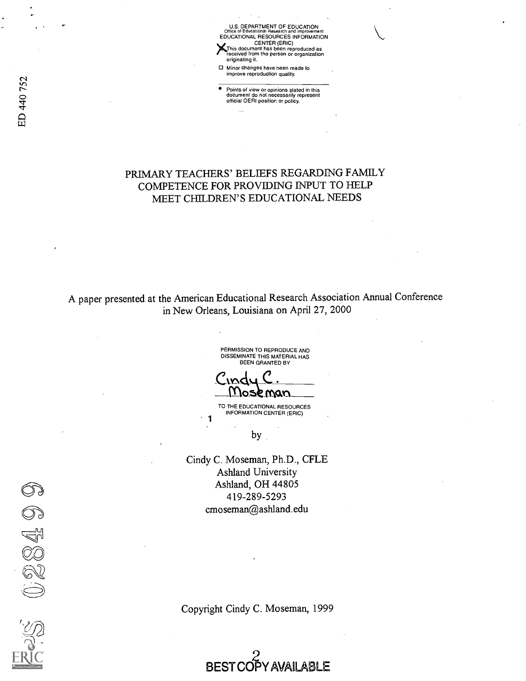U.S. DEPARTMENT OF EDUCATION Office of Educational Research and Improvement EDUCATIONAL RESOURCES INFORMATION CENTER (ERIC) This document has been reproduced as received from the person or organization originating it.

Minor changes have been made to improve reproduction quality.

the contract of the Points of view or opinions stated in this<br>  $\overline{C}$ document to not necessarity to<br>official OERI position or policy.

### PRIMARY TEACHERS' BELIEFS REGARDING FAMILY COMPETENCE FOR PROVIDING INPUT TO HELP MEET CHILDREN'S EDUCATIONAL NEEDS

A paper presented at the American Educational Research Association Annual Conference in New Orleans, Louisiana on April 27, 2000

PERMISSION TO REPRODUCE AND DISSEMINATE THIS MATERIAL HAS BEEN GRANTED BY <u>I Ioseman</u>

TO THE EDUCATIONAL RESOURCES INFORMATION CENTER (ERIC)

by

 $1$ 

Cindy C. Moseman, Ph.D., CFLE Ashland University Ashland, OH 44805 419-289-5293 cmoseman@ashland.edu

Copyright Cindy C. Moseman, 1999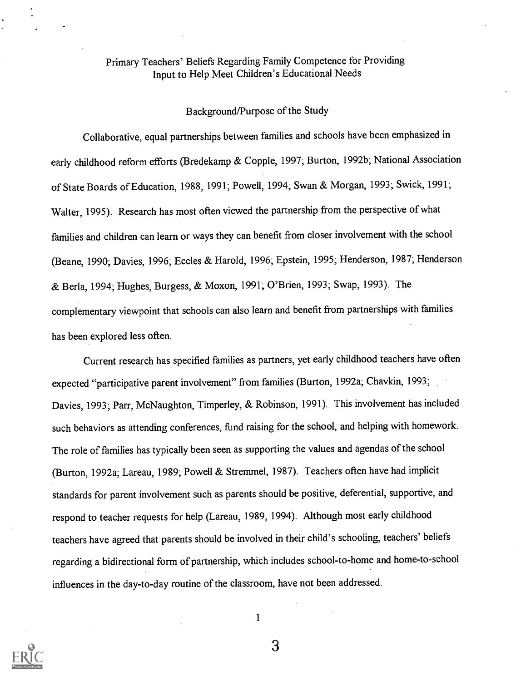## Primary Teachers' Beliefs Regarding Family Competence for Providing Input to Help Meet Children's Educational Needs

#### Background/Purpose of the Study

Collaborative, equal partnerships between families and schools have been emphasized in early childhood reform efforts (Bredekamp & Copple, 1997; Burton, 1992b; National Association of State Boards of Education, 1988, 1991; Powell, 1994; Swan & Morgan, 1993; Swick, 1991; Walter, 1995). Research has most often viewed the partnership from the perspective of what families and children can learn or ways they can benefit from closer involvement with the school (Beane, 1990; Davies, 1996; Eccles & Harold, 1996; Epstein, 1995; Henderson, 1987; Henderson & Berla, 1994; Hughes, Burgess, & Moxon, 1991; O'Brien, 1993; Swap, 1993). The complementary viewpoint that schools can also learn and benefit from partnerships with families has been explored less often.

Current research has specified families as partners, yet early childhood teachers have often expected "participative parent involvement" from families (Burton, 1992a; Chavkin, 1993; Davies, 1993; Parr, McNaughton, Timperley, & Robinson, 1991). This involvement has included such behaviors as attending conferences, fund raising for the school, and helping with homework. The role of families has typically been seen as supporting the values and agendas of the school (Burton, 1992a; Lareau, 1989; Powell & Stremmel, 1987). Teachers often have had implicit standards for parent involvement such as parents should be positive, deferential, supportive, and respond to teacher requests for help (Lareau, 1989, 1994). Although most early childhood teachers have agreed that parents should be involved in their child's schooling, teachers' beliefs regarding a bidirectional form of partnership, which includes school-to-home and home-to-school influences in the day-to-day routine of the classroom, have not been addressed.



1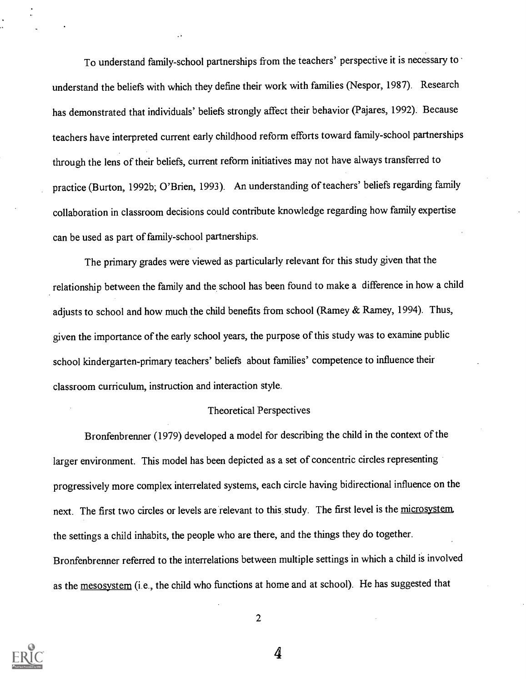To understand family-school partnerships from the teachers' perspective it is necessary to understand the beliefs with which they define their work with families (Nespor, 1987). Research has demonstrated that individuals' beliefs strongly affect their behavior (Pajares, 1992). Because teachers have interpreted current early childhood reform efforts toward family-school partnerships through the lens of their beliefs, current reform initiatives may not have always transferred to practice (Burton, 1992b; O'Brien, 1993). An understanding of teachers' beliefs regarding family collaboration in classroom decisions could contribute knowledge regarding how family expertise can be used as part of family-school partnerships.

The primary grades were viewed as particularly relevant for this study given that the relationship between the family and the school has been found to make a difference in how a child adjusts to school and how much the child benefits from school (Ramey & Ramey, 1994). Thus, given the importance of the early school years, the purpose of this study was to examine public school kindergarten-primary teachers' beliefs about families' competence to influence their classroom curriculum, instruction and interaction style.

#### Theoretical Perspectives

Bronfenbrenner (1979) developed a model for describing the child in the context of the larger environment. This model has been depicted as a set of concentric circles representing progressively more complex interrelated systems, each circle having bidirectional influence on the next. The first two circles or levels are relevant to this study. The first level is the microsystem. the settings a child inhabits, the people who are there, and the things they do together. Bronfenbrenner referred to the interrelations between multiple settings in which a child is involved as the mesosystem (i.e., the child who functions at home and at school). He has suggested that



2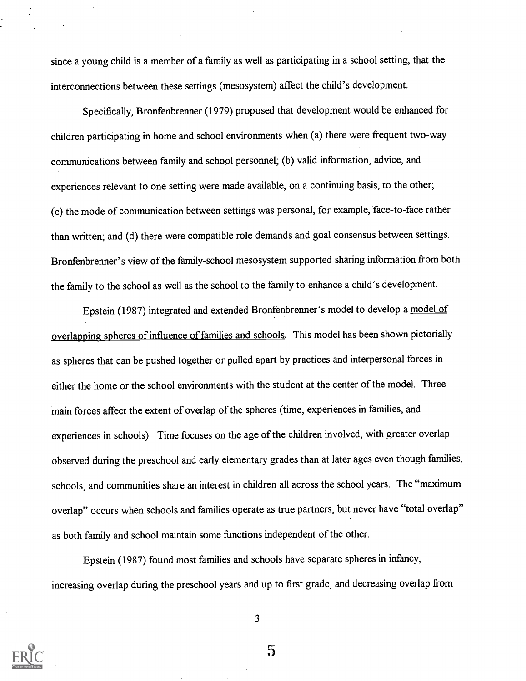since a young child is a member of a family as well as participating in a school setting, that the interconnections between these settings (mesosystem) affect the child's development.

Specifically, Bronfenbrenner (1979) proposed that development would be enhanced for children participating in home and school environments when (a) there were frequent two-way communications between family and school personnel; (b) valid information, advice, and experiences relevant to one setting were made available, on a continuing basis, to the other; (c) the mode of communication between settings was personal, for example, face-to-face rather than written; and (d) there were compatible role demands and goal consensus between settings. Bronfenbrenner's view of the family-school mesosystem supported sharing information from both the family to the school as well as the school to the family to enhance a child's development.

Epstein (1987) integrated and extended Bronfenbrenner's model to develop a model of overlapping spheres of influence of families and schools. This model has been shown pictorially as spheres that can be pushed together or pulled apart by practices and interpersonal forces in either the home or the school environments with the student at the center of the model. Three main forces affect the extent of overlap of the spheres (time, experiences in families, and experiences in schools). Time focuses on the age of the children involved, with greater overlap observed during the preschool and early elementary grades than at later ages even though families, schools, and communities share an interest in children all across the school years. The "maximum overlap" occurs when schools and families operate as true partners, but never have "total overlap" as both family and school maintain some functionsindependent of the other.

Epstein (1987) found most families and schools have separate spheres in infancy, increasing overlap during the preschool years and up to first grade, and decreasing overlap from



3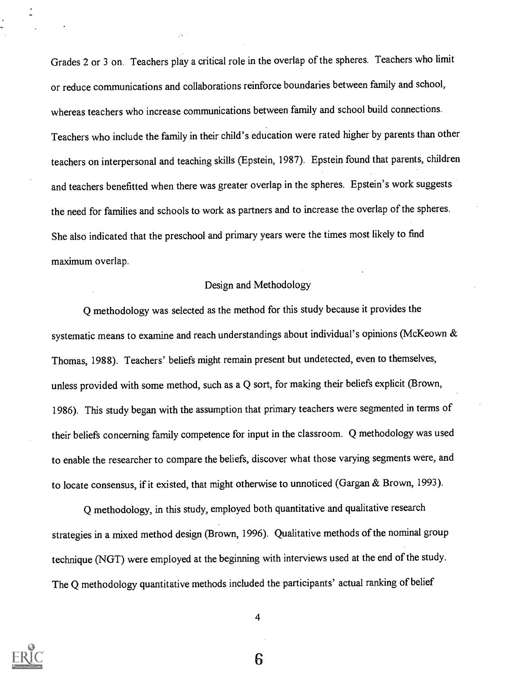Grades 2 or 3 on. Teachers play a critical role in the overlap of the spheres. Teachers who limit or reduce communications and collaborations reinforce boundaries between family and school, whereas teachers who increase communications between family and school build connections. Teachers who include the family in their child's education were rated higher by parents than other teachers on interpersonal and teaching skills (Epstein, 1987). Epstein found that parents, children and teachers benefitted when there was greater overlap in the spheres. Epstein's work suggests the need for families and schools to work as partners and to increase the overlap of the spheres. She also indicated that the preschool and primary years were the times most likely to find maximum overlap.

#### Design and Methodology

Q methodology was selected as the method for this study because it provides the systematic means to examine and reach understandings about individual's opinions (McKeown & Thomas, 1988). Teachers' beliefs might remain present but undetected, even to themselves, unless provided with some method, such as a Q sort, for making their beliefs explicit (Brown, 1986). This study began with the assumption that primary teachers were segmented in terms of their beliefs concerning family competence for input in the classroom. Q methodology was used to enable the researcher to compare the beliefs, discover what those varying segments were, and to locate consensus, if it existed, that might otherwise to unnoticed (Gargan & Brown, 1993).

Q methodology, in this study, employed both quantitative and qualitative research strategies in a mixed method design (Brown, 1996). Qualitative methods of the nominal group technique (NGT) were employed at the beginning with interviews used at the end of the study. The Q methodology quantitative methods included the participants' actual ranking of belief



4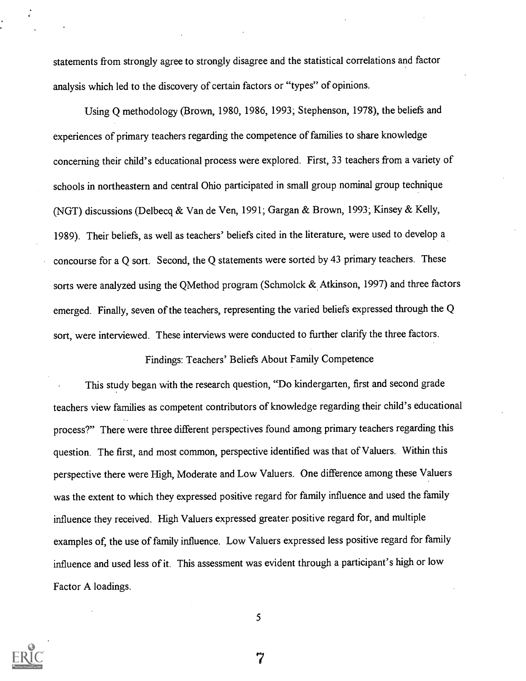statements from strongly agree to strongly disagree and the statistical correlations and factor analysis which led to the discovery of certain factors or "types" of opinions.

Using Q methodology (Brown, 1980, 1986, 1993; Stephenson, 1978), the beliefs and experiences of primary teachers regarding the competence of families to share knowledge concerning their child's educational process were explored. First, 33 teachers from a variety of schools in northeastern and central Ohio participated in small group nominal group technique (NGT) discussions (Delbecq & Van de Ven, 1991; Gargan & Brown, 1993; Kinsey & Kelly, 1989). Their beliefs, as well as teachers' beliefs cited in the literature, were used to develop a concourse for a Q sort. Second, the Q statements were sorted by 43 primary teachers. These sorts were analyzed using the QMethod program (Schmolck & Atkinson, 1997) and three factors emerged. Finally, seven of the teachers, representing the varied beliefs expressed through the Q sort, were interviewed. These interviews were conducted to further clarify the three factors.

Findings: Teachers' Beliefs About Family Competence

This study began with the research question, "Do kindergarten, first and second grade teachers view families as competent contributors of knowledge regarding their child's educational process?" There were three different perspectives found among primary teachers regarding this question. The first, and most common, perspective identified was that of Valuers. Within this perspective there were High, Moderate and Low Valuers. One difference among these Valuers was the extent to which they expressed positive regard for family influence and used the family influence they received. High Valuers expressed greater positive regard for, and multiple examples of, the use of family influence. Low Valuers expressed less positive regard for family influence and used less of it. This assessment was evident through a participant's high or low Factor A loadings.



5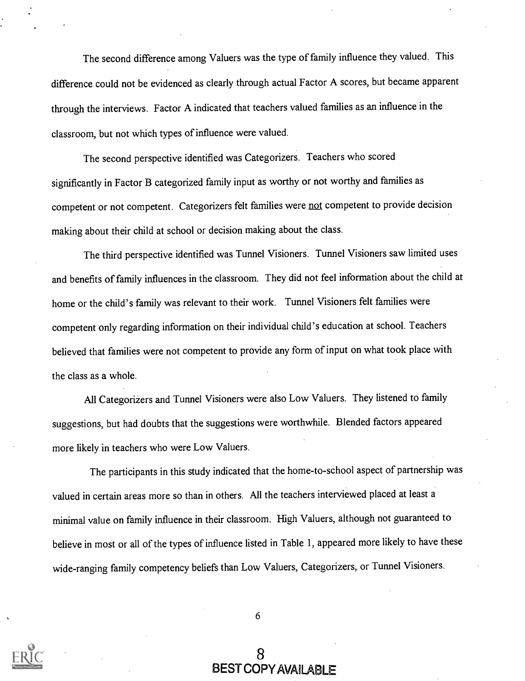The second difference among Valuers was the type of family influence they valued. This difference could not be evidenced as clearly through actual Factor A scores, but became apparent through the interviews. Factor A indicated that teachers valued families as an influence in the classroom, but not which types of influence were valued.

The second perspective identified was Categorizers. Teachers who scored significantly in Factor B categorized family input as worthy or not worthy and families as competent or not competent. Categorizers felt families were not competent to provide decision making about their child at school or decision making about the class.

The third perspective identified was Tunnel Visioners. Tunnel Visioners saw limited uses and benefits of family influences in the classroom. They did not feel information about the child at home or the child's family was relevant to their work. Tunnel Visioners felt families were competent only regarding information on their individual child's education at school. Teachers believed that families were not competent to provide any form of input on what took place with the class as a whole.

All Categorizers and Tunnel Visioners were also Low Valuers. They listened to family suggestions, but had doubts that the suggestions were worthwhile. Blended factors appeared more likely in teachers who were Low Valuers.

The participants in this study indicated that the home-to-school aspect of partnership was valued in certain areas more so than in others. All the teachers interviewed placed at least a minimal value on family influence in their classroom. High Valuers, although not guaranteed to believe in most or all of the types of influence listed in Table 1, appeared more likely to have these wide-ranging family competency beliefs than Low Valuers, Categorizers, or Tunnel Visioners.



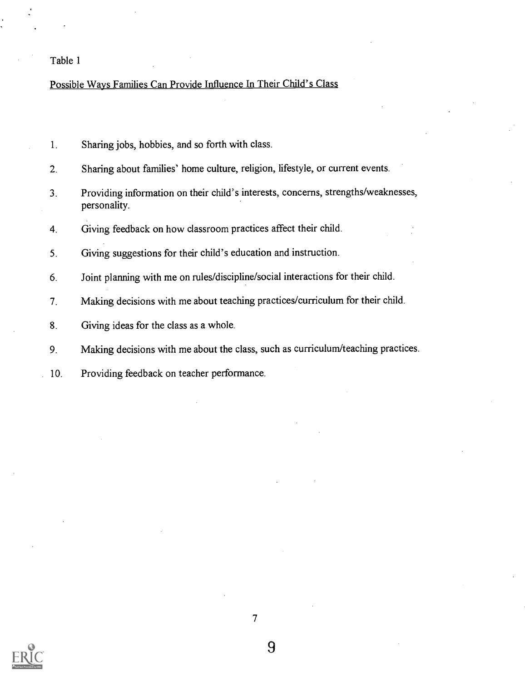#### Table 1

#### Possible Ways Families Can Provide Influence In Their Child's Class

- 1. Sharing jobs, hobbies, and so forth with class.
- 2. Sharing about families' home culture, religion, lifestyle, or current events.
- 3. Providing information on their child's interests, concerns, strengths/weaknesses, personality.
- 4. Giving feedback on how classroom practices affect their child.
- 5. Giving suggestions for their child's education and instruction.
- 6. Joint planning with me on rules/discipline/social interactions for their child.
- 7. Making decisions with me about teaching practices/curriculum for their child.
- 8. Giving ideas for the class as a whole.
- 9. Making decisions with me about the class, such as curriculum/teaching practices.
- 10. Providing feedback on teacher performance.

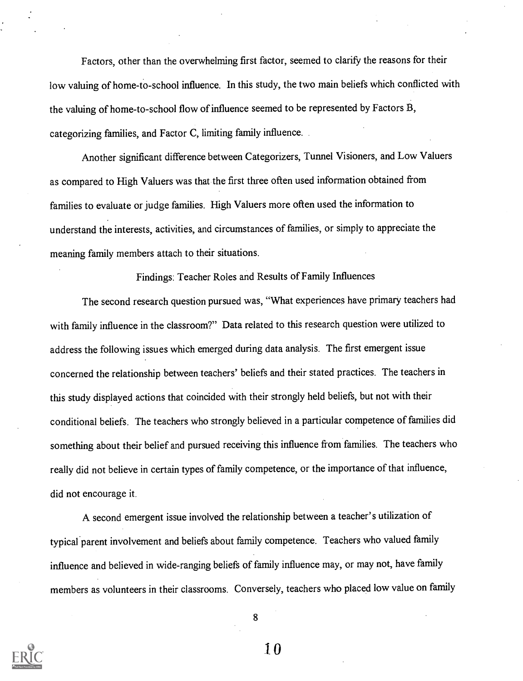Factors, other than the overwhelming first factor, seemed to clarify the reasons for their low valuing of home-to-school influence. In this study, the two main beliefs which conflicted with the valuing of home-to-school flow of influence seemed to be represented by Factors B, categorizing families, and Factor C, limiting family influence.

Another significant difference between Categorizers, Tunnel Visioners, and Low Valuers as compared to High Valuers was that the first three often used information obtained from families to evaluate or judge families. High Valuers more often used the information to understand the interests, activities, and circumstances of families, or simply to appreciate the meaning family members attach to their situations.

Findings: Teacher Roles and Results of Family Influences

The second research question pursued was, "What experiences have primary teachers had with family influence in the classroom?" Data related to this research question were utilized to address the following issues which emerged during data analysis. The first emergent issue concerned the relationship between teachers' beliefs and their stated practices. The teachers in this study displayed actions that coincided with their strongly held beliefs, but not with their conditional beliefs. The teachers who strongly believed in a particular competence of families did something about their belief and pursued receiving this influence from families. The teachers who really did not believe in certain types of family competence, or the importance of that influence, did not encourage it.

A second emergent issue involved the relationship between a teacher's utilization of typical parent involvement and beliefs about family competence. Teachers who valued family influence and believed in wide-ranging beliefs of family influence may, or may not, have family members as volunteers in their classrooms. Conversely, teachers who placed low value on family



8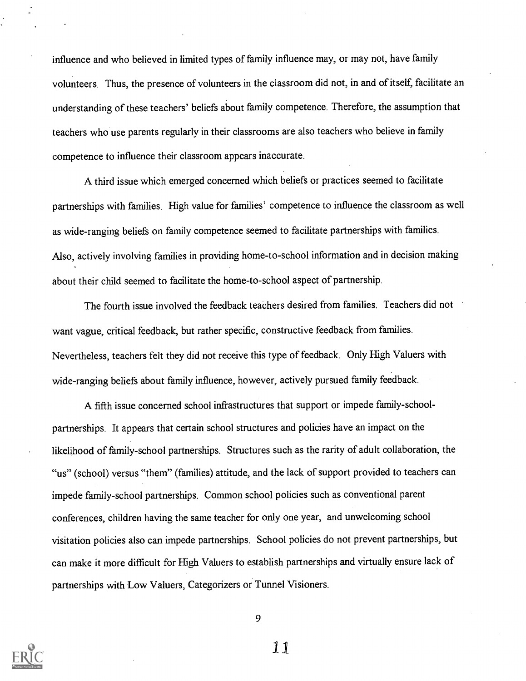influence and who believed in limited types of family influence may, or may not, have family volunteers. Thus, the presence of volunteers in the classroom did not, in and of itself, facilitate an understanding of these teachers' beliefs about family competence. Therefore, the assumption that teachers who use parents regularly in their classrooms are also teachers who believe in family competence to influence their classroom appears inaccurate.

A third issue which emerged concerned which beliefs or practices seemed to facilitate partnerships with families. High value for families' competence to influence the classroom as well as wide-ranging beliefs on family competence seemed to facilitate partnerships with families. Also, actively involving families in providing home-to-school information and in decision making about their child seemed to facilitate the home-to-school aspect of partnership.

The fourth issue involved the feedback teachers desired from families. Teachers did not want vague, critical feedback, but rather specific, constructive feedback from families. Nevertheless, teachers felt they did not receive this type of feedback. Only High Valuers with wide-ranging beliefs about family influence, however, actively pursued family feedback.

A fifth issue concerned school infrastructures that support or impede family-schoolpartnerships. It appears that certain school structures and policies have an impact on the likelihood of family-school partnerships. Structures such as the rarity of adult collaboration, the "us" (school) versus "them" (families) attitude, and the lack of support provided to teachers can impede family-school partnerships. Common school policies such as conventional parent conferences, children having the same teacher for only one year, and unwelcoming school visitation policies also can impede partnerships. School policies do not prevent partnerships, but can make it more difficult for High Valuers to establish partnerships and virtually ensurelack of partnerships with Low Valuers, Categorizers or Tunnel Visioners.



9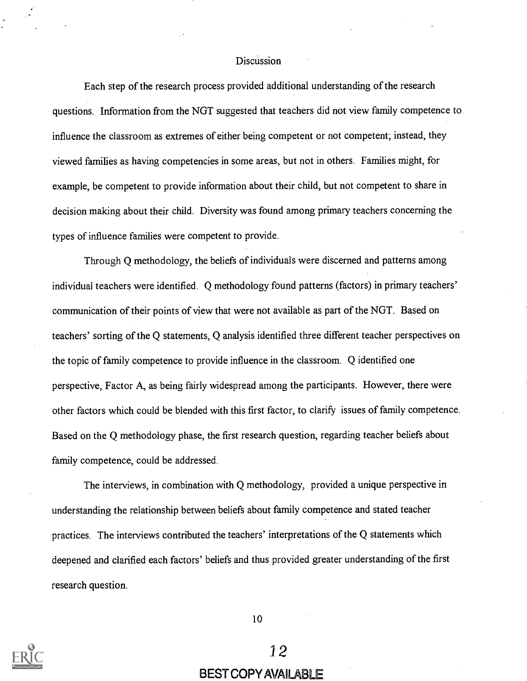#### Discussion

Each step of the research process provided additional understanding of the research questions. Information from the NGT suggested that teachers did not view family competence to influence the classroom as extremes of either being competent or not competent; instead, they viewed families as having competencies in some areas, but not in others. Families might, for example, be competent to provide information about their child, but not competent to share in decision making about their child. Diversity was found among primary teachers concerning the types of influence families were competent to provide.

Through Q methodology, the beliefs of individuals were discerned and patterns among individual teachers were identified. Q methodology found patterns (factors) in primary teachers' communication of their points of view that were not available as part of the NGT. Based on teachers' sorting of the Q statements, Q analysis identified three different teacher perspectives on the topic of family competence to provide influence in the classroom. Q identified one perspective, Factor A, as being fairly widespread among the participants. However, there were other factors which could be blended with this first factor, to clarify issues of family competence. Based on the Q methodology phase, the first research question, regarding teacher beliefs about family competence, could be addressed.

The interviews, in combination with Q methodology, provided a unique perspective in understanding the relationship between beliefs about family competence and stated teacher practices. The interviews contributed the teachers' interpretations of the Q statements which deepened and clarified each factors' beliefs and thus provided greater understanding of the first research question.

10



#### BEST COPY AVAILABLE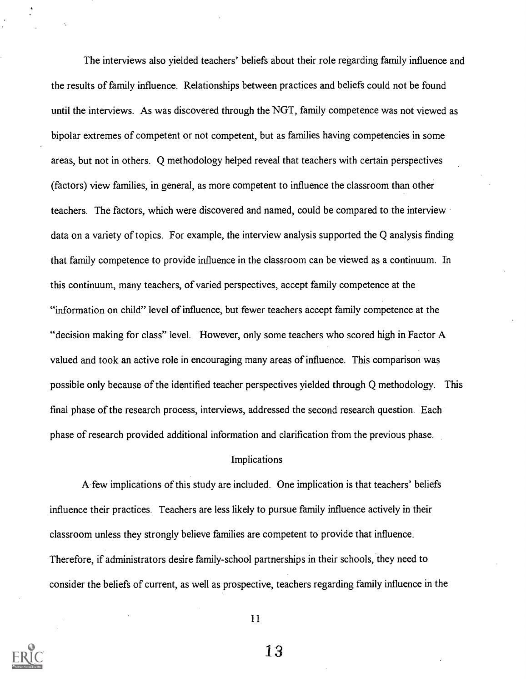The interviews also yielded teachers' beliefs about their role regarding family influence and the results of family influence. Relationships between practices and beliefs could not be found until the interviews. As was discovered through the NGT, family competence was not viewed as bipolar extremes of competent or not competent, but as families having competencies in some areas, but not in others. Q methodology helped reveal that teachers with certain perspectives (factors) view families, in general, as more competent to influence the classroom than other teachers. The factors, which were discovered and named, could be compared to the interview data on a variety of topics. For example, the interview analysis supported the Q analysis finding that family competence to provide influence in the classroom can be viewed as a continuum. In this continuum, many teachers, of varied perspectives, accept family competence at the "information on child" level of influence, but fewer teachers accept family competence at the "decision making for class" level. However, only some teachers who scored high in Factor A valued and took an active role in encouraging many areas of influence. This comparison was possible only because of the identified teacher perspectives yielded through Q methodology. This final phase of the research process, interviews, addressed the second research question. Each phase of research provided additional information and clarification from the previous phase.

#### Implications

A few implications of this study are included. One implication is that teachers' beliefs influence their practices. Teachers are less likely to pursue family influence actively in their classroom unless they strongly believe families are competent to provide that influence. Therefore, if administrators desire family-school partnerships in their schools, they need to consider the beliefs of current, as well as prospective, teachers regarding family influence in the

11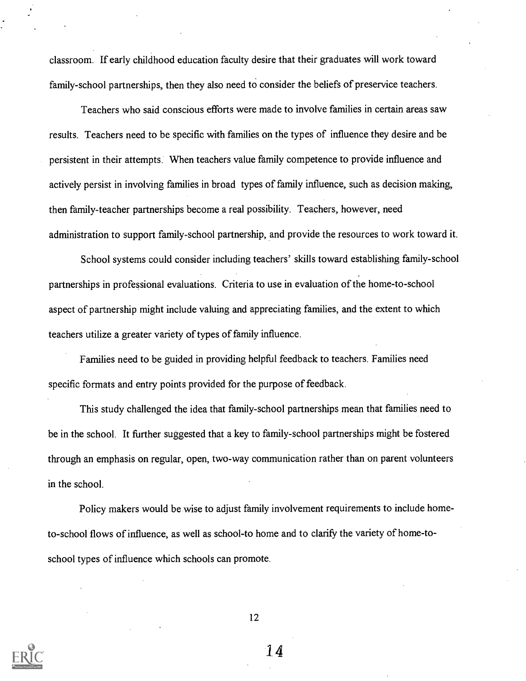classroom. If early childhood education faculty desire that their graduates will work toward family-school partnerships, then they also need to consider the beliefs of preservice teachers.

Teachers who said conscious efforts were made to involve families in certain areas saw results. Teachers need to be specific with families on the types of influence they desire and be persistent in their attempts. When teachers value family competence to provide influence and actively persist in involving families in broad types of family influence, such as decision making, then family-teacher partnerships become a real possibility. Teachers, however, need administration to support family-school partnership, and provide the resources to work toward it.

School systems could consider including teachers' skills toward establishing family-school partnerships in professional evaluations. Criteria to use in evaluation of the home-to-school aspect of partnership might include valuing and appreciating families, and the extent to which teachers utilize a greater variety of types of family influence.

Families need to be guided in providing helpful feedback to teachers. Families need specific formats and entry points provided for the purpose of feedback.

This study challenged the idea that family-school partnerships mean that families need to be in the school. It further suggested that a key to family-school partnerships might be fostered through an emphasis on regular, open, two-way communication rather than on parent volunteers in the school.

Policy makers would be wise to adjust family involvement requirements to include hometo-school flows of influence, as well as school-to home and to clarify the variety of home-toschool types of influence which schools can promote.



12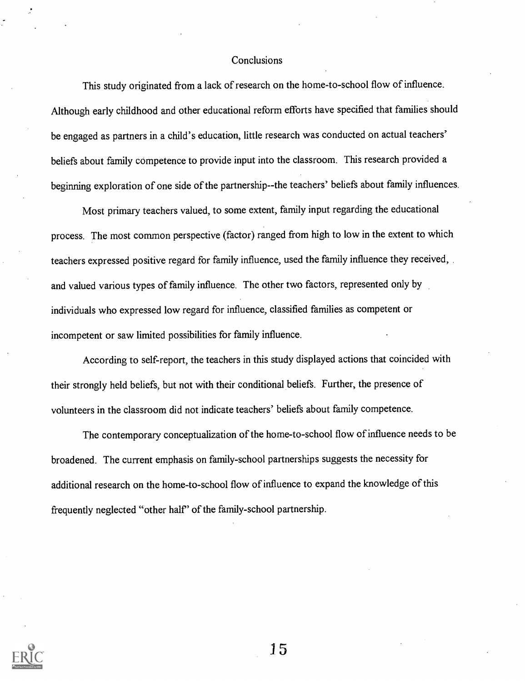#### Conclusions

This study originated from a lack of research on the home-to-school flow of influence. Although early childhood and other educational reform efforts have specified that families should be engaged as partners in a child's education, little research was conducted on actual teachers' beliefs about family competence to provide input into the classroom. This research provided a beginning exploration of one side of the partnership- -the teachers' beliefs about family influences.

Most primary teachers valued, to some extent, family input regarding the educational process. The most common perspective (factor) ranged from high to low in the extent to which teachers expressed positive regard for family influence, used the family influence they received, and valued various types of family influence. The other two factors, represented only by individuals who expressed low regard for influence, classified families as competent or incompetent or saw limited possibilities for family influence.

According to self-report, the teachers in this study displayed actions that coincided with their strongly held beliefs, but not with their conditional beliefs. Further, the presence of volunteers in the classroom did not indicate teachers' beliefs about family competence.

The contemporary conceptualization of the home-to-school flow of influence needs to be broadened. The current emphasis on family-school partnerships suggests the necessity for additional research on the home-to-school flow of influence to expand the knowledge of this frequently neglected "other half' of the family-school partnership.

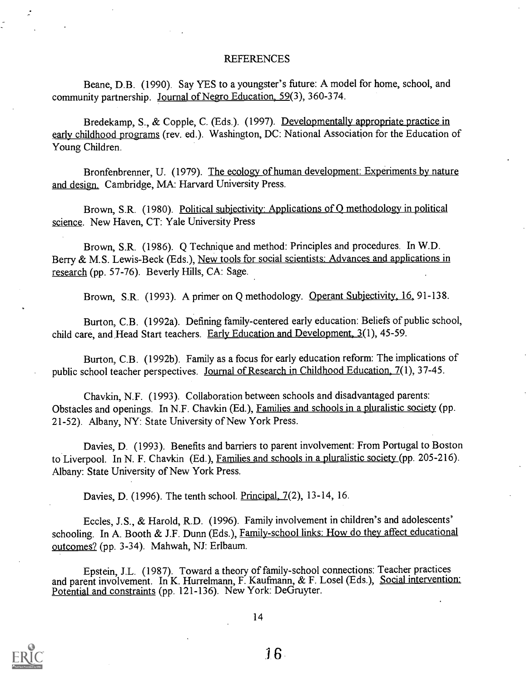#### REFERENCES

Beane, D.B. (1990). Say YES to a youngster's future: A model for home, school, and community partnership. Journal of Negro Education, 59(3), 360-374.

Bredekamp, S., & Copple, C. (Eds.). (1997). Developmentally appropriate practice in early childhood programs (rev. ed.). Washington, DC: National Association for the Education of Young Children.

Bronfenbrenner, U. (1979). The ecology of human development: Experiments by nature and design. Cambridge, MA: Harvard University Press.

Brown, S.R. (1980). Political subjectivity: Applications of Q methodology in political science. New Haven, CT: Yale University Press

Brown, S.R. (1986). Q Technique and method: Principles and procedures. In W.D. Berry & M.S. Lewis-Beck (Eds.), New tools for social scientists: Advances and applications in research (pp. 57-76). Beverly Hills, CA: Sage.

Brown, S.R. (1993). A primer on Q methodology. Operant Subjectivity, 16, 91-138.

Burton, C.B. (1992a). Defining family-centered early education: Beliefs of public school, child care, and Head Start teachers. Early Education and Development,  $3(1)$ , 45-59.

Burton, C.B. (1992b). Family as a focus for early education reform: The implications of public school teacher perspectives. Journal of Research in Childhood Education, 7(1), 37-45.

Chavkin, N.F. (1993). Collaboration between schools and disadvantaged parents: Obstacles and openings. In N.F. Chavkin (Ed.), Families and schools in a pluralistic society (pp. 21-52). Albany, NY: State University of New York Press.

Davies, D. (1993). Benefits and barriers to parent involvement: From Portugal to Boston to Liverpool. In N. F. Chavkin (Ed.), Families and schools in a pluralistic society (pp. 205-216). Albany: State University of New York Press.

Davies, D. (1996). The tenth school. Principal, 7(2), 13-14, 16.

Eccles, J.S., & Harold, R.D. (1996). Family involvement in children's and adolescents' schooling. In A. Booth & J.F. Dunn (Eds.), Family-school links: How do they affect educational outcomes? (pp. 3-34). Mahwah, NJ: Erlbaum.

Epstein, J.L. (1987). Toward a theory of family-school connections: Teacher practices and parent involvement. In K. Hurrelmann, F. Kaufmann, & F. Losel (Eds.), Social intervention: Potential and constraints (pp. 121-136). New York: DeGruyter.

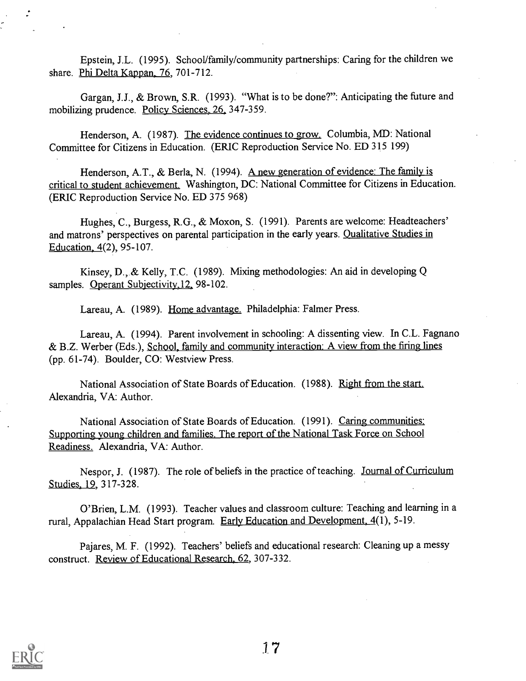Epstein, J.L. (1995). School/family/community partnerships: Caring for the children we share. Phi Delta Kappan, 76, 701-712.

Gargan, J.J., & Brown, S.R. (1993). "What is to be done?": Anticipating the future and mobilizing prudence. Policy Sciences, 26, 347-359.

Henderson, A. (1987). The evidence continues to grow. Columbia, MD: National Committee for Citizens in Education. (ERIC Reproduction Service No. ED 315 199)

Henderson, A.T., & Berla, N. (1994). A new generation of evidence: The family is critical to student achievement. Washington, DC: National Committee for Citizens in Education. (ERIC Reproduction Service No. ED 375 968)

Hughes, C., Burgess, R.G., & Moxon, S. (1991). Parents are welcome: Headteachers' and matrons' perspectives on parental participation in the early years. Qualitative Studies in Education, 4(2), 95-107.

Kinsey, D., & Kelly, T.C. (1989). Mixing methodologies: An aid in developing Q samples. Operant Subjectivity, 12, 98-102.

Lareau, A. (1989). Home advantage. Philadelphia: Falmer Press.

Lareau, A. (1994). Parent involvement in schooling: A dissenting view. In C.L. Fagnano & B.Z. Werber (Eds.), School, family and community interaction: A view from the firing lines (pp. 61-74). Boulder, CO: Westview Press.

National Association of State Boards of Education. (1988). Right from the start. Alexandria, VA: Author.

National Association of State Boards of Education. (1991). Caring communities: Supporting young children and families. The report of the National Task Force on School Readiness. Alexandria, VA: Author.

Nespor, J. (1987). The role of beliefs in the practice of teaching. Journal of Curriculum Studies, 19, 317-328.

O'Brien, L.M. (1993). Teacher values and classroom culture: Teaching and learning in a rural, Appalachian Head Start program. Early Education and Development, 4(1), 5-19.

Pajares, M. F. (1992). Teachers' beliefs and educational research: Cleaning up a messy construct. Review of Educational Research, 62, 307-332.

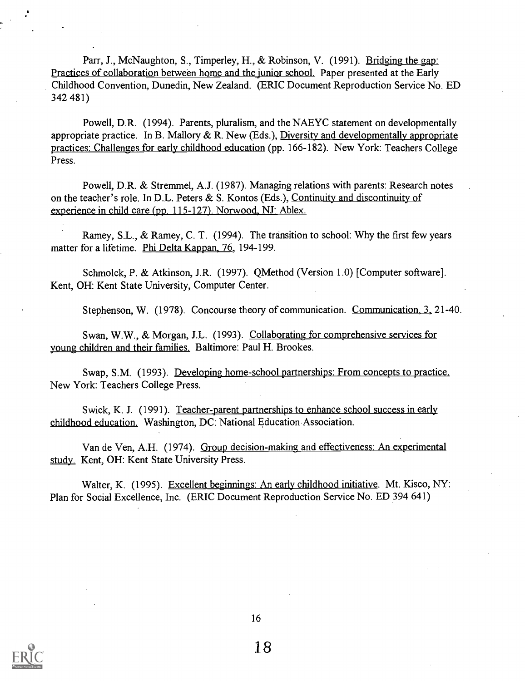Parr, J., McNaughton, S., Timperley, H., & Robinson, V. (1991). Bridging the gap: Practices of collaboration between home and the junior school. Paper presented at the Early Childhood Convention, Dunedin, New Zealand. (ERIC Document Reproduction Service No. ED 342 481)

Powell, D.R. (1994). Parents, pluralism, and the NAEYC statement on developmentally appropriate practice. In B. Mallory  $\& R$ . New (Eds.), Diversity and developmentally appropriate practices: Challenges for early childhood education (pp. 166-182). New York: Teachers College Press.

Powell, D.R. & Stremmel, A.J. (1987). Managing relations with parents: Research notes on the teacher's role. In D.L. Peters & S. Kontos (Eds.), Continuity and discontinuity of experience in child care (pp. 115-127). Norwood, NJ: Ablex.

Ramey, S.L., & Ramey, C. T. (1994). The transition to school: Why the first few years matter for a lifetime. Phi Delta Kappan, 76, 194-199.

Schmolck, P. & Atkinson, J.R. (1997). QMethod (Version 1.0) [Computer software]. Kent, OH: Kent State University, Computer Center.

Stephenson, W. (1978). Concourse theory of communication. Communication. 3, 21-40.

Swan, W.W., & Morgan, J.L. (1993). Collaborating for comprehensive services for young children and their families. Baltimore: Paul H. Brookes.

Swap, S.M. (1993). Developing home-school partnerships: From concepts to practice. New York: Teachers College Press.

Swick, K. J. (1991). Teacher-parent partnerships to enhance school success in early childhood education. Washington, DC: National Education Association.

Van de Ven, A.H. (1974). Group decision-making and effectiveness: An experimental study. Kent, OH: Kent State University Press.

Walter, K. (1995). Excellent beginnings: An early childhood initiative. Mt. Kisco, NY: Plan for Social Excellence, Inc. (ERIC Document Reproduction Service No. ED 394 641)

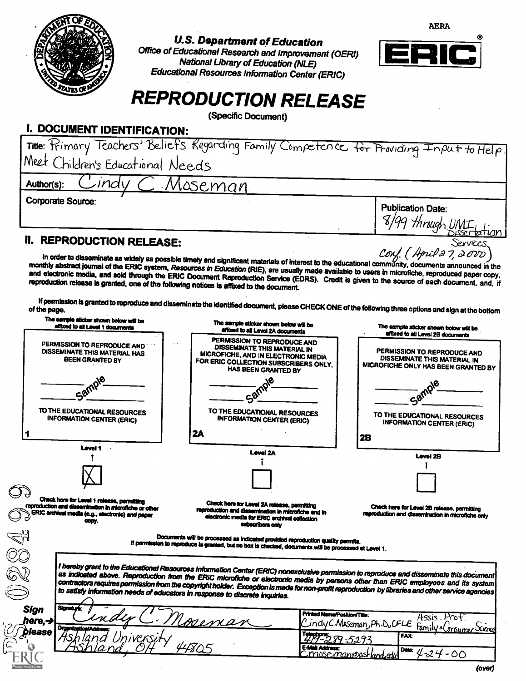

## U.S. Department of Education

Office of Educational Research and Improvement (OERI) National Library of Education (NLE) Educational Resources Information Center (ERIC)



AERA

# REPRODUCTION RELEASE

(Specific Document)

# **I. DOCUMENT IDENTIFICATION:**

| Title: "Himary Teachers' Beliet's Kegarding Family Competence for Providing Input to Help.                                                                                                                                                                                                                                                                                                                                                                                                                                                                |                              |
|-----------------------------------------------------------------------------------------------------------------------------------------------------------------------------------------------------------------------------------------------------------------------------------------------------------------------------------------------------------------------------------------------------------------------------------------------------------------------------------------------------------------------------------------------------------|------------------------------|
| Meet Children's Educational Needs                                                                                                                                                                                                                                                                                                                                                                                                                                                                                                                         |                              |
| ndv<br>Author(s):<br><u>Moseman</u>                                                                                                                                                                                                                                                                                                                                                                                                                                                                                                                       |                              |
| Corporate Source:                                                                                                                                                                                                                                                                                                                                                                                                                                                                                                                                         | <b>Publication Date:</b>     |
|                                                                                                                                                                                                                                                                                                                                                                                                                                                                                                                                                           | 18/99 through UMI biseration |
| <b>REPRODUCTION RELEASE:</b>                                                                                                                                                                                                                                                                                                                                                                                                                                                                                                                              | Services.                    |
| In order to disseminate as widely as possible timely and significant materials of interest to the educational community, documents announced in the<br>monthly abstract journal of the ERIC system, Resources in Education (RIE), are usually made available to users in microfiche, reproduced paper copy,<br>and electronic media, and sold through the ERIC Document Reproduction Service (EDRS). Credit is given to the source of each document, and, if<br>reproduction release is granted, one of the following notices is affixed to the document. | Conf. (April 27, 2000)       |

If permission is granted to reproduce and disseminate the identified document, please CHECK ONE of the following three options and sign at the bottom of the page.

| The sample sticker shown below will be<br>affixed to all Level 1 documents                                                                                       | The sample sticker shown below will be<br>affixed to all Level 2A documents                                                                                                                                                                                                           | The sample sticker shown below will be<br>affixed to all Level 2B documents                               |
|------------------------------------------------------------------------------------------------------------------------------------------------------------------|---------------------------------------------------------------------------------------------------------------------------------------------------------------------------------------------------------------------------------------------------------------------------------------|-----------------------------------------------------------------------------------------------------------|
| PERMISSION TO REPRODUCE AND<br>DISSEMINATE THIS MATERIAL HAS<br><b>BEEN GRANTED BY</b>                                                                           | PERMISSION TO REPRODUCE AND<br>DISSEMINATE THIS MATERIAL IN<br>MICROFICHE, AND IN ELECTRONIC MEDIA<br>FOR ERIC COLLECTION SUBSCRIBERS ONLY.<br><b>HAS BEEN GRANTED BY</b>                                                                                                             | PERMISSION TO REPRODUCE AND<br><b>DISSEMINATE THIS MATERIAL IN</b><br>MICROFICHE ONLY HAS BEEN GRANTED BY |
| Sample<br>TO THE EDUCATIONAL RESOURCES<br><b>INFORMATION CENTER (ERIC)</b>                                                                                       | TO THE EDUCATIONAL RESOURCES<br><b>INFORMATION CENTER (ERIC)</b><br>2A                                                                                                                                                                                                                | <b>Cam</b><br>TO THE EDUCATIONAL RESOURCES<br><b>INFORMATION CENTER (ERIC)</b><br>2B                      |
| Level 1                                                                                                                                                          | <b>Level 2A</b>                                                                                                                                                                                                                                                                       | <b>Level 2B</b>                                                                                           |
|                                                                                                                                                                  |                                                                                                                                                                                                                                                                                       |                                                                                                           |
| Check here for Level 1 release, permitting<br>reproduction and dissemination in microfiche or other<br>ERIC archival media (e.g., electronic) and paper<br>copy. | Check here for Level 2A release, permitting<br>reproduction and dissemination in microfiche and in<br>electronic media for ERIC archival collection<br>subscribers only                                                                                                               | Check here for Level 2B release, permitting<br>reproduction and dissemination in microfiche only          |
|                                                                                                                                                                  | Documents will be processed as indicated provided reproduction quality permits.<br>If permission to reproduce is granted, but no box is checked, documents will be processed at Level 1.                                                                                              |                                                                                                           |
|                                                                                                                                                                  | I hereby grant to the Educational Resources Information Center (ERIC) nonexclusive permission to reproduce and disseminate this document                                                                                                                                              |                                                                                                           |
| to satisfy information needs of educators in response to discrete inquiries.                                                                                     | as indicated above. Reproduction from the ERIC microfiche or electronic media by persons other than ERIC employees and its system<br>contractors requires permission from the copyright holder. Exception is made for non-profit reproduction by libraries and other service agencies |                                                                                                           |
| <b>Signature</b><br><b>Sign</b><br>here,→                                                                                                                        | Printed Name/Position/Title:<br>menan                                                                                                                                                                                                                                                 | Assis Proti<br>CindyC.Meseman, Ph.D.CFLE                                                                  |
| <b>Organization</b><br>blease                                                                                                                                    | Telephone:<br>E-Mail Address:                                                                                                                                                                                                                                                         | Family a Consumer Seene<br><b>FAX</b><br>Data:<br>4-24-00<br>Cimoseman@ashland.ed                         |